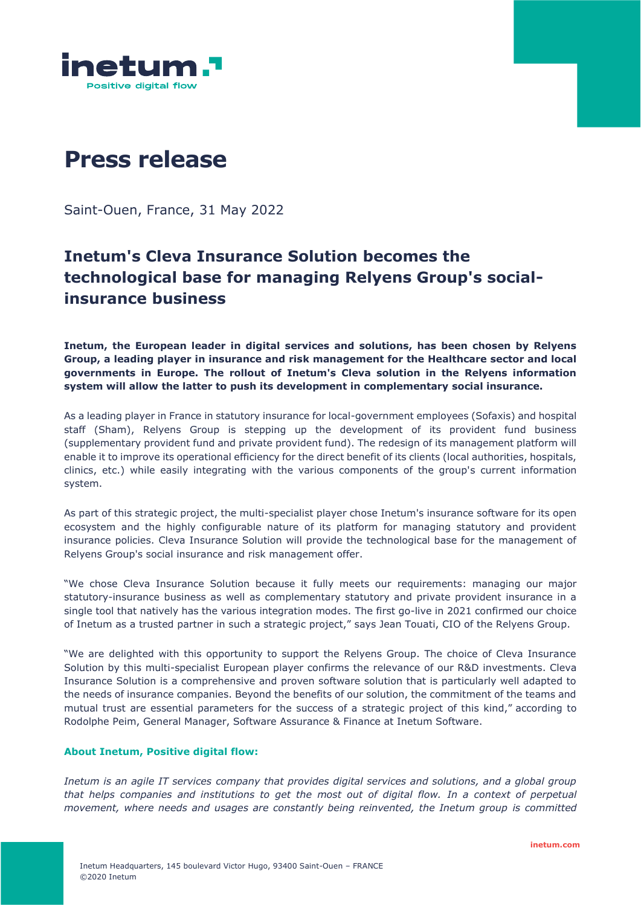

# **Press release**

Saint-Ouen, France, 31 May 2022

## **Inetum's Cleva Insurance Solution becomes the technological base for managing Relyens Group's socialinsurance business**

**Inetum, the European leader in digital services and solutions, has been chosen by Relyens Group, a leading player in insurance and risk management for the Healthcare sector and local governments in Europe. The rollout of Inetum's Cleva solution in the Relyens information system will allow the latter to push its development in complementary social insurance.** 

As a leading player in France in statutory insurance for local-government employees (Sofaxis) and hospital staff (Sham), [Relyens Group](https://www.relyens.eu/fr) is stepping up the development of its provident fund business (supplementary provident fund and private provident fund). The redesign of its management platform will enable it to improve its operational efficiency for the direct benefit of its clients (local authorities, hospitals, clinics, etc.) while easily integrating with the various components of the group's current information system.

As part of this strategic project, the multi-specialist player chose Inetum's insurance software for its open ecosystem and the highly configurable nature of its platform for managing statutory and provident insurance policies. Cleva Insurance Solution will provide the technological base for the management of Relyens Group's social insurance and risk management offer.

"We chose Cleva Insurance Solution because it fully meets our requirements: managing our major statutory-insurance business as well as complementary statutory and private provident insurance in a single tool that natively has the various integration modes. The first go-live in 2021 confirmed our choice of Inetum as a trusted partner in such a strategic project," says Jean Touati, CIO of the Relyens Group.

"We are delighted with this opportunity to support the Relyens Group. The choice of Cleva Insurance Solution by this multi-specialist European player confirms the relevance of our R&D investments. Cleva Insurance Solution is a comprehensive and proven software solution that is particularly well adapted to the needs of insurance companies. Beyond the benefits of our solution, the commitment of the teams and mutual trust are essential parameters for the success of a strategic project of this kind," according to Rodolphe Peim, General Manager, Software Assurance & Finance at Inetum Software.

### **About Inetum, Positive digital flow:**

*Inetum is an agile IT services company that provides digital services and solutions, and a global group that helps companies and institutions to get the most out of digital flow. In a context of perpetual movement, where needs and usages are constantly being reinvented, the Inetum group is committed*